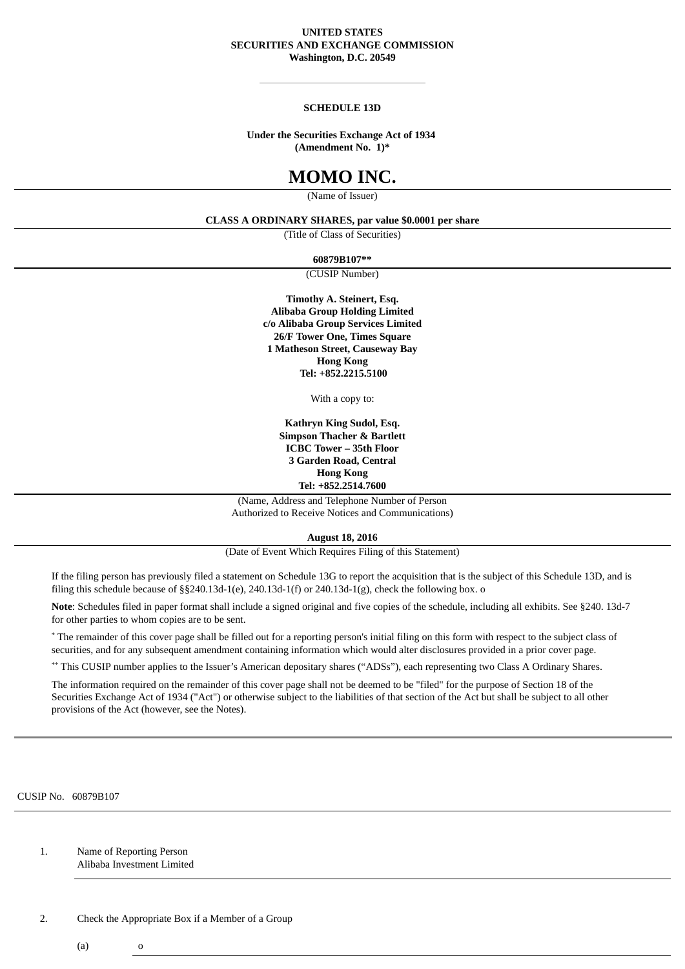# **UNITED STATES SECURITIES AND EXCHANGE COMMISSION Washington, D.C. 20549**

# **SCHEDULE 13D**

# **Under the Securities Exchange Act of 1934 (Amendment No. 1)\***

# **MOMO INC.**

(Name of Issuer)

# **CLASS A ORDINARY SHARES, par value \$0.0001 per share**

(Title of Class of Securities)

**60879B107\*\***

(CUSIP Number)

**Timothy A. Steinert, Esq. Alibaba Group Holding Limited c/o Alibaba Group Services Limited 26/F Tower One, Times Square 1 Matheson Street, Causeway Bay Hong Kong Tel: +852.2215.5100**

With a copy to:

**Kathryn King Sudol, Esq. Simpson Thacher & Bartlett ICBC Tower – 35th Floor 3 Garden Road, Central Hong Kong Tel: +852.2514.7600**

(Name, Address and Telephone Number of Person Authorized to Receive Notices and Communications)

**August 18, 2016**

(Date of Event Which Requires Filing of this Statement)

If the filing person has previously filed a statement on Schedule 13G to report the acquisition that is the subject of this Schedule 13D, and is filing this schedule because of  $\S$ §240.13d-1(e), 240.13d-1(f) or 240.13d-1(g), check the following box. o

**Note**: Schedules filed in paper format shall include a signed original and five copies of the schedule, including all exhibits. See §240. 13d-7 for other parties to whom copies are to be sent.

\* The remainder of this cover page shall be filled out for a reporting person's initial filing on this form with respect to the subject class of securities, and for any subsequent amendment containing information which would alter disclosures provided in a prior cover page.

\*\* This CUSIP number applies to the Issuer's American depositary shares ("ADSs"), each representing two Class A Ordinary Shares.

The information required on the remainder of this cover page shall not be deemed to be "filed" for the purpose of Section 18 of the Securities Exchange Act of 1934 ("Act") or otherwise subject to the liabilities of that section of the Act but shall be subject to all other provisions of the Act (however, see the Notes).

CUSIP No. 60879B107

1. Name of Reporting Person Alibaba Investment Limited

2. Check the Appropriate Box if a Member of a Group

 $(a)$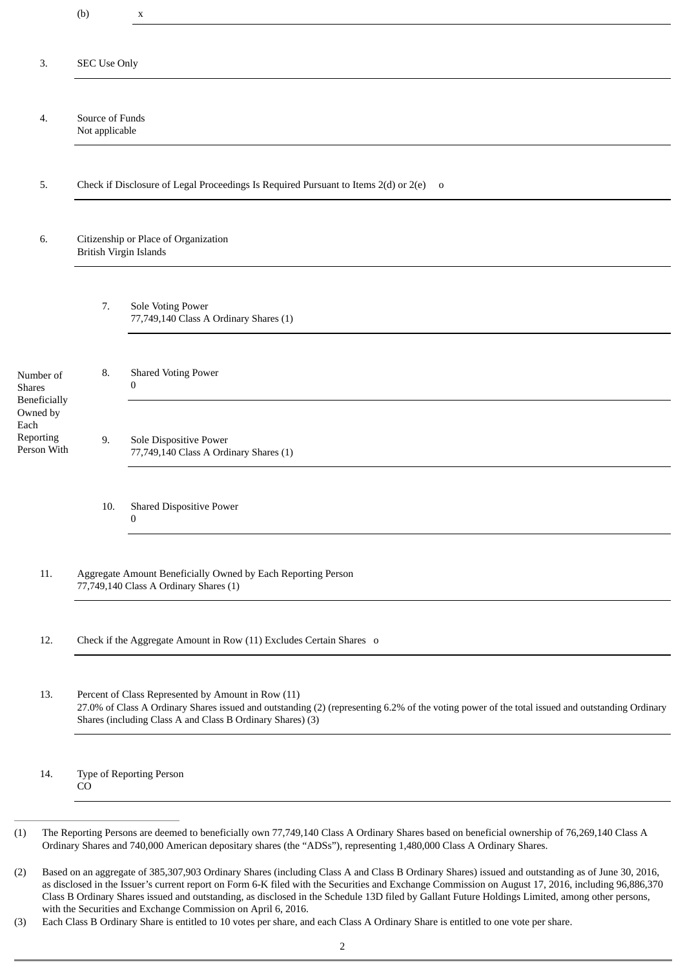|                                              | (b)                                                                                                                                                                                                                                                                 | $\mathbf X$                                                      |  |
|----------------------------------------------|---------------------------------------------------------------------------------------------------------------------------------------------------------------------------------------------------------------------------------------------------------------------|------------------------------------------------------------------|--|
| 3.                                           |                                                                                                                                                                                                                                                                     |                                                                  |  |
|                                              | <b>SEC Use Only</b>                                                                                                                                                                                                                                                 |                                                                  |  |
| 4.                                           | Source of Funds<br>Not applicable                                                                                                                                                                                                                                   |                                                                  |  |
| 5.                                           | Check if Disclosure of Legal Proceedings Is Required Pursuant to Items 2(d) or 2(e) o                                                                                                                                                                               |                                                                  |  |
| 6.                                           | Citizenship or Place of Organization<br><b>British Virgin Islands</b>                                                                                                                                                                                               |                                                                  |  |
|                                              | 7.                                                                                                                                                                                                                                                                  | Sole Voting Power<br>77,749,140 Class A Ordinary Shares (1)      |  |
| Number of<br><b>Shares</b><br>Beneficially   | 8.                                                                                                                                                                                                                                                                  | <b>Shared Voting Power</b><br>0                                  |  |
| Owned by<br>Each<br>Reporting<br>Person With | 9.                                                                                                                                                                                                                                                                  | Sole Dispositive Power<br>77,749,140 Class A Ordinary Shares (1) |  |
|                                              | 10.                                                                                                                                                                                                                                                                 | <b>Shared Dispositive Power</b><br>$\boldsymbol{0}$              |  |
| 11.                                          | Aggregate Amount Beneficially Owned by Each Reporting Person<br>77,749,140 Class A Ordinary Shares (1)                                                                                                                                                              |                                                                  |  |
| 12.                                          | Check if the Aggregate Amount in Row (11) Excludes Certain Shares o                                                                                                                                                                                                 |                                                                  |  |
| 13.                                          | Percent of Class Represented by Amount in Row (11)<br>27.0% of Class A Ordinary Shares issued and outstanding (2) (representing 6.2% of the voting power of the total issued and outstanding Ordinary<br>Shares (including Class A and Class B Ordinary Shares) (3) |                                                                  |  |
| 14.                                          | Type of Reporting Person<br>CO                                                                                                                                                                                                                                      |                                                                  |  |

<sup>(2)</sup> Based on an aggregate of 385,307,903 Ordinary Shares (including Class A and Class B Ordinary Shares) issued and outstanding as of June 30, 2016, as disclosed in the Issuer's current report on Form 6-K filed with the Securities and Exchange Commission on August 17, 2016, including 96,886,370 Class B Ordinary Shares issued and outstanding, as disclosed in the Schedule 13D filed by Gallant Future Holdings Limited, among other persons, with the Securities and Exchange Commission on April 6, 2016.

<sup>(3)</sup> Each Class B Ordinary Share is entitled to 10 votes per share, and each Class A Ordinary Share is entitled to one vote per share.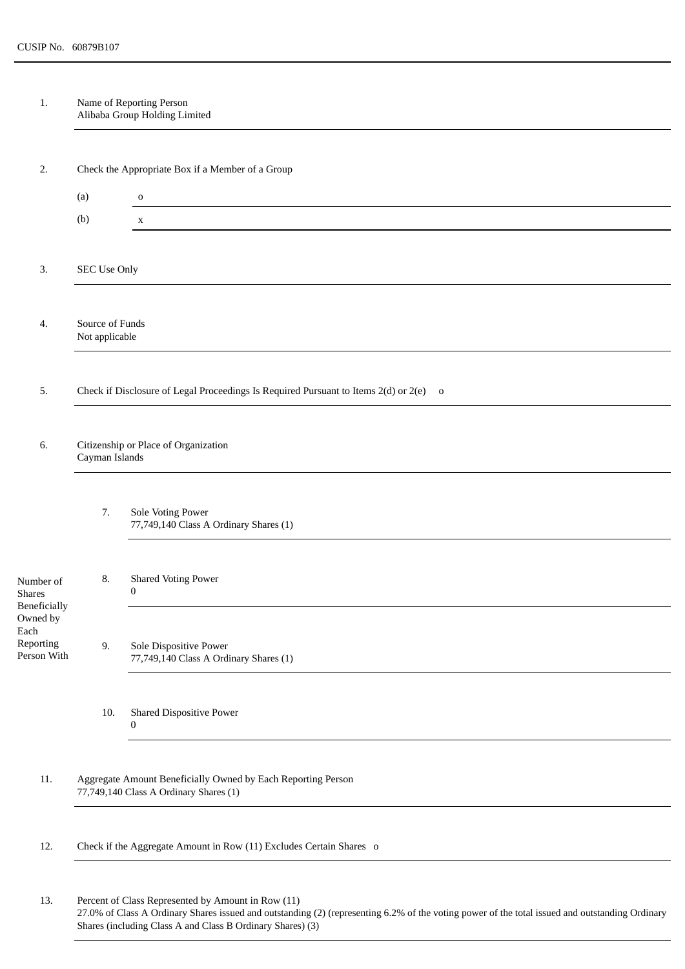1. Name of Reporting Person Alibaba Group Holding Limited

| Check the Appropriate Box if a Member of a Group<br>2.                                                          |                                                                     |  |  |
|-----------------------------------------------------------------------------------------------------------------|---------------------------------------------------------------------|--|--|
| (a)<br>$\mathbf 0$                                                                                              |                                                                     |  |  |
| (b)<br>$\mathbf X$                                                                                              |                                                                     |  |  |
|                                                                                                                 |                                                                     |  |  |
| SEC Use Only<br>3.                                                                                              |                                                                     |  |  |
|                                                                                                                 |                                                                     |  |  |
| Source of Funds<br>4.<br>Not applicable                                                                         |                                                                     |  |  |
|                                                                                                                 |                                                                     |  |  |
| Check if Disclosure of Legal Proceedings Is Required Pursuant to Items 2(d) or 2(e) o<br>5.                     |                                                                     |  |  |
|                                                                                                                 |                                                                     |  |  |
| 6.                                                                                                              |                                                                     |  |  |
| Cayman Islands                                                                                                  | Citizenship or Place of Organization                                |  |  |
|                                                                                                                 |                                                                     |  |  |
| 7.<br>Sole Voting Power<br>77,749,140 Class A Ordinary Shares (1)                                               |                                                                     |  |  |
|                                                                                                                 |                                                                     |  |  |
| <b>Shared Voting Power</b><br>8.<br>Number of                                                                   |                                                                     |  |  |
| 0<br><b>Shares</b><br>Beneficially                                                                              |                                                                     |  |  |
| Owned by<br>Each                                                                                                |                                                                     |  |  |
| Reporting<br>9.<br>Sole Dispositive Power<br>Person With<br>77,749,140 Class A Ordinary Shares (1)              |                                                                     |  |  |
|                                                                                                                 |                                                                     |  |  |
| Shared Dispositive Power<br>10.                                                                                 |                                                                     |  |  |
| $\bf{0}$                                                                                                        |                                                                     |  |  |
|                                                                                                                 |                                                                     |  |  |
| $11.$<br>Aggregate Amount Beneficially Owned by Each Reporting Person<br>77,749,140 Class A Ordinary Shares (1) |                                                                     |  |  |
|                                                                                                                 |                                                                     |  |  |
| 12.                                                                                                             |                                                                     |  |  |
|                                                                                                                 | Check if the Aggregate Amount in Row (11) Excludes Certain Shares o |  |  |
| Percent of Class Represented by Amount in Row (11)<br>13.                                                       |                                                                     |  |  |

27.0% of Class A Ordinary Shares issued and outstanding (2) (representing 6.2% of the voting power of the total issued and outstanding Ordinary Shares (including Class A and Class B Ordinary Shares) (3)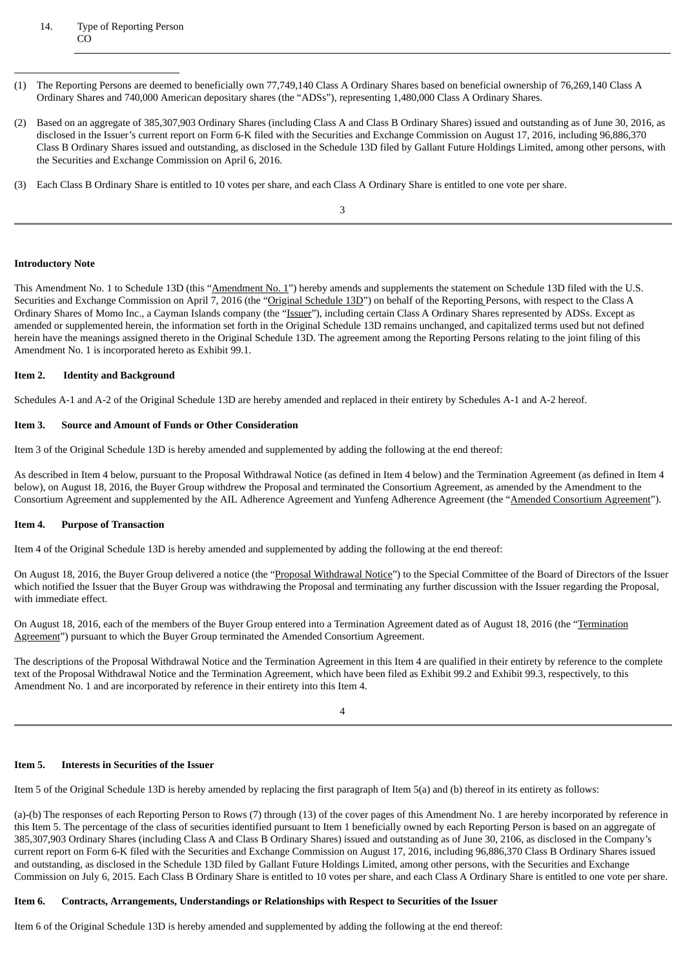# 14. Type of Reporting Person CO

- (1) The Reporting Persons are deemed to beneficially own 77,749,140 Class A Ordinary Shares based on beneficial ownership of 76,269,140 Class A Ordinary Shares and 740,000 American depositary shares (the "ADSs"), representing 1,480,000 Class A Ordinary Shares.
- (2) Based on an aggregate of 385,307,903 Ordinary Shares (including Class A and Class B Ordinary Shares) issued and outstanding as of June 30, 2016, as disclosed in the Issuer's current report on Form 6-K filed with the Securities and Exchange Commission on August 17, 2016, including 96,886,370 Class B Ordinary Shares issued and outstanding, as disclosed in the Schedule 13D filed by Gallant Future Holdings Limited, among other persons, with the Securities and Exchange Commission on April 6, 2016.
- (3) Each Class B Ordinary Share is entitled to 10 votes per share, and each Class A Ordinary Share is entitled to one vote per share.

#### 3

# **Introductory Note**

This Amendment No. 1 to Schedule 13D (this "Amendment No. 1") hereby amends and supplements the statement on Schedule 13D filed with the U.S. Securities and Exchange Commission on April 7, 2016 (the "Original Schedule 13D") on behalf of the Reporting Persons, with respect to the Class A Ordinary Shares of Momo Inc., a Cayman Islands company (the "Issuer"), including certain Class A Ordinary Shares represented by ADSs. Except as amended or supplemented herein, the information set forth in the Original Schedule 13D remains unchanged, and capitalized terms used but not defined herein have the meanings assigned thereto in the Original Schedule 13D. The agreement among the Reporting Persons relating to the joint filing of this Amendment No. 1 is incorporated hereto as Exhibit 99.1.

# **Item 2. Identity and Background**

Schedules A-1 and A-2 of the Original Schedule 13D are hereby amended and replaced in their entirety by Schedules A-1 and A-2 hereof.

# **Item 3. Source and Amount of Funds or Other Consideration**

Item 3 of the Original Schedule 13D is hereby amended and supplemented by adding the following at the end thereof:

As described in Item 4 below, pursuant to the Proposal Withdrawal Notice (as defined in Item 4 below) and the Termination Agreement (as defined in Item 4 below), on August 18, 2016, the Buyer Group withdrew the Proposal and terminated the Consortium Agreement, as amended by the Amendment to the Consortium Agreement and supplemented by the AIL Adherence Agreement and Yunfeng Adherence Agreement (the "Amended Consortium Agreement").

# **Item 4. Purpose of Transaction**

Item 4 of the Original Schedule 13D is hereby amended and supplemented by adding the following at the end thereof:

On August 18, 2016, the Buyer Group delivered a notice (the "Proposal Withdrawal Notice") to the Special Committee of the Board of Directors of the Issuer which notified the Issuer that the Buyer Group was withdrawing the Proposal and terminating any further discussion with the Issuer regarding the Proposal, with immediate effect.

On August 18, 2016, each of the members of the Buyer Group entered into a Termination Agreement dated as of August 18, 2016 (the "Termination Agreement") pursuant to which the Buyer Group terminated the Amended Consortium Agreement.

The descriptions of the Proposal Withdrawal Notice and the Termination Agreement in this Item 4 are qualified in their entirety by reference to the complete text of the Proposal Withdrawal Notice and the Termination Agreement, which have been filed as Exhibit 99.2 and Exhibit 99.3, respectively, to this Amendment No. 1 and are incorporated by reference in their entirety into this Item 4.

4

#### **Item 5. Interests in Securities of the Issuer**

Item 5 of the Original Schedule 13D is hereby amended by replacing the first paragraph of Item 5(a) and (b) thereof in its entirety as follows:

(a)-(b) The responses of each Reporting Person to Rows (7) through (13) of the cover pages of this Amendment No. 1 are hereby incorporated by reference in this Item 5. The percentage of the class of securities identified pursuant to Item 1 beneficially owned by each Reporting Person is based on an aggregate of 385,307,903 Ordinary Shares (including Class A and Class B Ordinary Shares) issued and outstanding as of June 30, 2106, as disclosed in the Company's current report on Form 6-K filed with the Securities and Exchange Commission on August 17, 2016, including 96,886,370 Class B Ordinary Shares issued and outstanding, as disclosed in the Schedule 13D filed by Gallant Future Holdings Limited, among other persons, with the Securities and Exchange Commission on July 6, 2015. Each Class B Ordinary Share is entitled to 10 votes per share, and each Class A Ordinary Share is entitled to one vote per share.

# **Item 6. Contracts, Arrangements, Understandings or Relationships with Respect to Securities of the Issuer**

Item 6 of the Original Schedule 13D is hereby amended and supplemented by adding the following at the end thereof: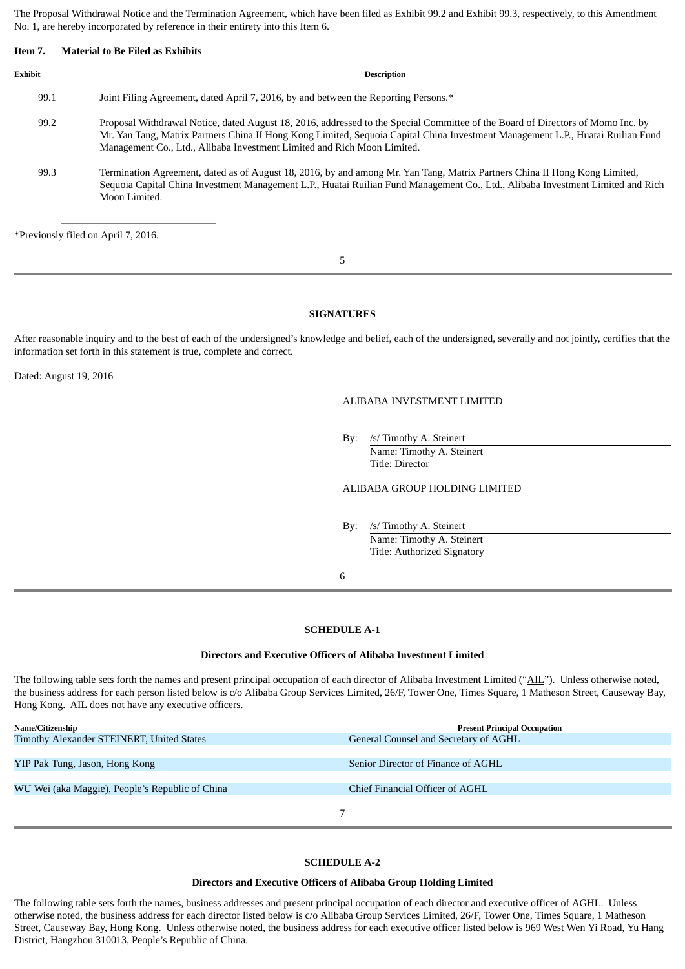The Proposal Withdrawal Notice and the Termination Agreement, which have been filed as Exhibit 99.2 and Exhibit 99.3, respectively, to this Amendment No. 1, are hereby incorporated by reference in their entirety into this Item 6.

#### **Item 7. Material to Be Filed as Exhibits**

| Exhibit | <b>Description</b>                                                                                                                                                                                                                                                                                                                            |  |
|---------|-----------------------------------------------------------------------------------------------------------------------------------------------------------------------------------------------------------------------------------------------------------------------------------------------------------------------------------------------|--|
| 99.1    | Joint Filing Agreement, dated April 7, 2016, by and between the Reporting Persons.*                                                                                                                                                                                                                                                           |  |
| 99.2    | Proposal Withdrawal Notice, dated August 18, 2016, addressed to the Special Committee of the Board of Directors of Momo Inc. by<br>Mr. Yan Tang, Matrix Partners China II Hong Kong Limited, Sequoia Capital China Investment Management L.P., Huatai Ruilian Fund<br>Management Co., Ltd., Alibaba Investment Limited and Rich Moon Limited. |  |
| 99.3    | Termination Agreement, dated as of August 18, 2016, by and among Mr. Yan Tang, Matrix Partners China II Hong Kong Limited,<br>Sequoia Capital China Investment Management L.P., Huatai Ruilian Fund Management Co., Ltd., Alibaba Investment Limited and Rich<br>Moon Limited.                                                                |  |

\*Previously filed on April 7, 2016.

5

# **SIGNATURES**

After reasonable inquiry and to the best of each of the undersigned's knowledge and belief, each of the undersigned, severally and not jointly, certifies that the information set forth in this statement is true, complete and correct.

Dated: August 19, 2016

# ALIBABA INVESTMENT LIMITED

By: /s/ Timothy A. Steinert

Name: Timothy A. Steinert Title: Director

# ALIBABA GROUP HOLDING LIMITED

By: /s/ Timothy A. Steinert Name: Timothy A. Steinert Title: Authorized Signatory

6

#### **SCHEDULE A-1**

#### **Directors and Executive Officers of Alibaba Investment Limited**

The following table sets forth the names and present principal occupation of each director of Alibaba Investment Limited ("AIL"). Unless otherwise noted, the business address for each person listed below is c/o Alibaba Group Services Limited, 26/F, Tower One, Times Square, 1 Matheson Street, Causeway Bay, Hong Kong. AIL does not have any executive officers.

| <b>Present Principal Occupation</b>   |
|---------------------------------------|
| General Counsel and Secretary of AGHL |
|                                       |
| Senior Director of Finance of AGHL    |
|                                       |
| Chief Financial Officer of AGHL       |
|                                       |
|                                       |
|                                       |

# **SCHEDULE A-2**

#### **Directors and Executive Officers of Alibaba Group Holding Limited**

The following table sets forth the names, business addresses and present principal occupation of each director and executive officer of AGHL. Unless otherwise noted, the business address for each director listed below is c/o Alibaba Group Services Limited, 26/F, Tower One, Times Square, 1 Matheson Street, Causeway Bay, Hong Kong. Unless otherwise noted, the business address for each executive officer listed below is 969 West Wen Yi Road, Yu Hang District, Hangzhou 310013, People's Republic of China.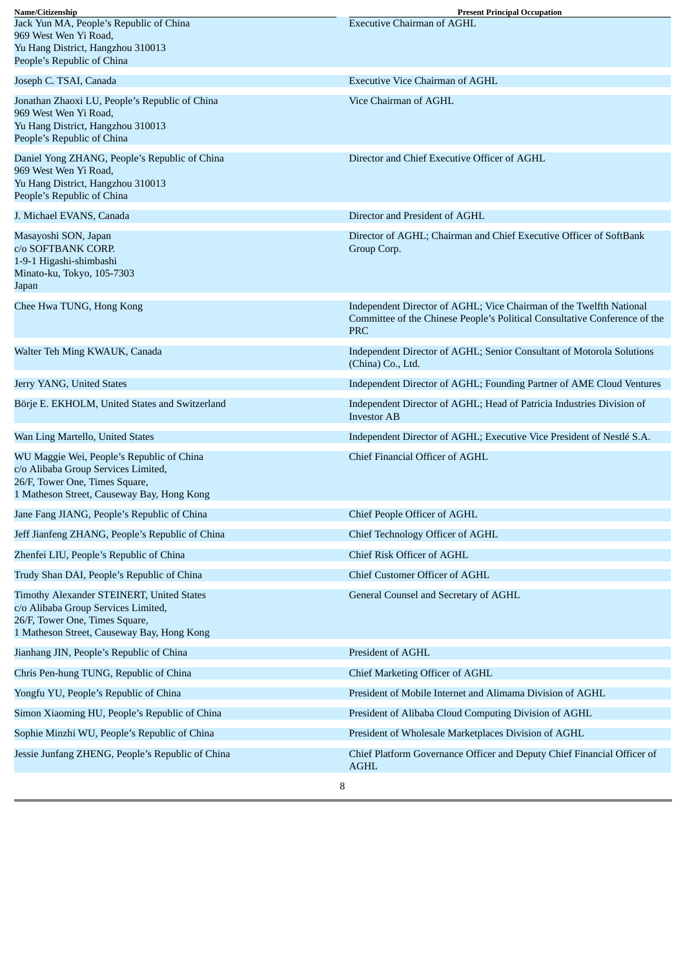| Name/Citizenship                                                                                                                                                 | <b>Present Principal Occupation</b>                                                                                                                             |
|------------------------------------------------------------------------------------------------------------------------------------------------------------------|-----------------------------------------------------------------------------------------------------------------------------------------------------------------|
| Jack Yun MA, People's Republic of China<br>969 West Wen Yi Road,<br>Yu Hang District, Hangzhou 310013<br>People's Republic of China                              | <b>Executive Chairman of AGHL</b>                                                                                                                               |
| Joseph C. TSAI, Canada                                                                                                                                           | <b>Executive Vice Chairman of AGHL</b>                                                                                                                          |
| Jonathan Zhaoxi LU, People's Republic of China<br>969 West Wen Yi Road,<br>Yu Hang District, Hangzhou 310013<br>People's Republic of China                       | Vice Chairman of AGHL                                                                                                                                           |
| Daniel Yong ZHANG, People's Republic of China<br>969 West Wen Yi Road,<br>Yu Hang District, Hangzhou 310013<br>People's Republic of China                        | Director and Chief Executive Officer of AGHL                                                                                                                    |
| J. Michael EVANS, Canada                                                                                                                                         | Director and President of AGHL                                                                                                                                  |
| Masayoshi SON, Japan<br>c/o SOFTBANK CORP.<br>1-9-1 Higashi-shimbashi<br>Minato-ku, Tokyo, 105-7303<br>Japan                                                     | Director of AGHL; Chairman and Chief Executive Officer of SoftBank<br>Group Corp.                                                                               |
| Chee Hwa TUNG, Hong Kong                                                                                                                                         | Independent Director of AGHL; Vice Chairman of the Twelfth National<br>Committee of the Chinese People's Political Consultative Conference of the<br><b>PRC</b> |
| Walter Teh Ming KWAUK, Canada                                                                                                                                    | Independent Director of AGHL; Senior Consultant of Motorola Solutions<br>(China) Co., Ltd.                                                                      |
| Jerry YANG, United States                                                                                                                                        | Independent Director of AGHL; Founding Partner of AME Cloud Ventures                                                                                            |
| Börje E. EKHOLM, United States and Switzerland                                                                                                                   | Independent Director of AGHL; Head of Patricia Industries Division of<br><b>Investor AB</b>                                                                     |
| Wan Ling Martello, United States                                                                                                                                 | Independent Director of AGHL; Executive Vice President of Nestlé S.A.                                                                                           |
| WU Maggie Wei, People's Republic of China<br>c/o Alibaba Group Services Limited,<br>26/F, Tower One, Times Square,<br>1 Matheson Street, Causeway Bay, Hong Kong | Chief Financial Officer of AGHL                                                                                                                                 |
| Jane Fang JIANG, People's Republic of China                                                                                                                      | Chief People Officer of AGHL                                                                                                                                    |
| Jeff Jianfeng ZHANG, People's Republic of China                                                                                                                  | Chief Technology Officer of AGHL                                                                                                                                |
| Zhenfei LIU, People's Republic of China                                                                                                                          | Chief Risk Officer of AGHL                                                                                                                                      |
| Trudy Shan DAI, People's Republic of China                                                                                                                       | Chief Customer Officer of AGHL                                                                                                                                  |
| Timothy Alexander STEINERT, United States<br>c/o Alibaba Group Services Limited,<br>26/F, Tower One, Times Square,<br>1 Matheson Street, Causeway Bay, Hong Kong | General Counsel and Secretary of AGHL                                                                                                                           |
| Jianhang JIN, People's Republic of China                                                                                                                         | President of AGHL                                                                                                                                               |
| Chris Pen-hung TUNG, Republic of China                                                                                                                           | Chief Marketing Officer of AGHL                                                                                                                                 |
| Yongfu YU, People's Republic of China                                                                                                                            | President of Mobile Internet and Alimama Division of AGHL                                                                                                       |
| Simon Xiaoming HU, People's Republic of China                                                                                                                    | President of Alibaba Cloud Computing Division of AGHL                                                                                                           |
| Sophie Minzhi WU, People's Republic of China                                                                                                                     | President of Wholesale Marketplaces Division of AGHL                                                                                                            |
| Jessie Junfang ZHENG, People's Republic of China                                                                                                                 | Chief Platform Governance Officer and Deputy Chief Financial Officer of<br><b>AGHL</b>                                                                          |
|                                                                                                                                                                  |                                                                                                                                                                 |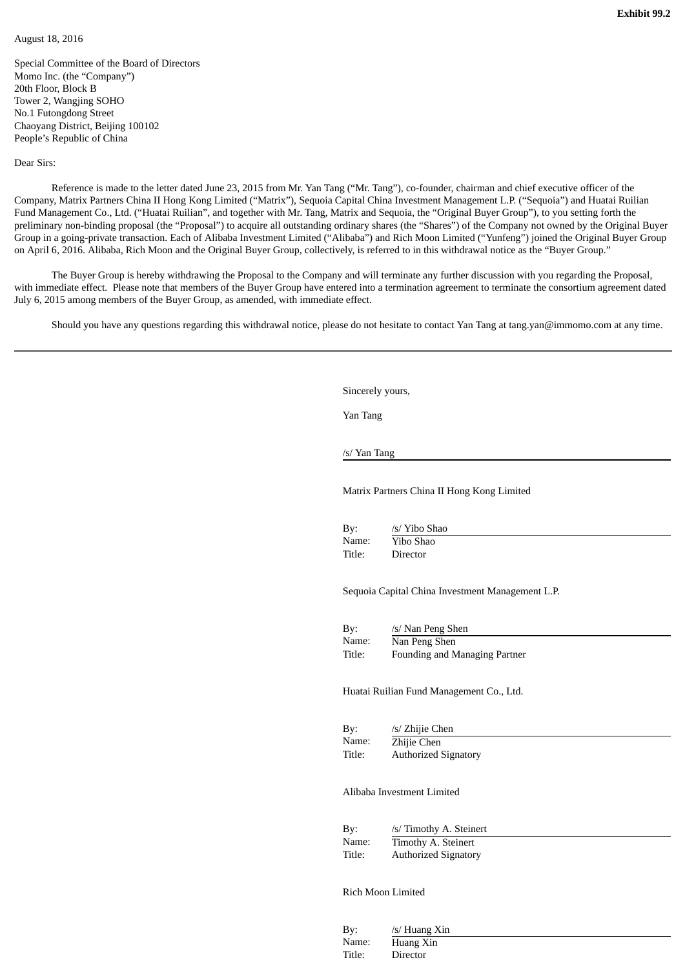# August 18, 2016

Special Committee of the Board of Directors Momo Inc. (the "Company") 20th Floor, Block B Tower 2, Wangjing SOHO No.1 Futongdong Street Chaoyang District, Beijing 100102 People's Republic of China

Dear Sirs:

Reference is made to the letter dated June 23, 2015 from Mr. Yan Tang ("Mr. Tang"), co-founder, chairman and chief executive officer of the Company, Matrix Partners China II Hong Kong Limited ("Matrix"), Sequoia Capital China Investment Management L.P. ("Sequoia") and Huatai Ruilian Fund Management Co., Ltd. ("Huatai Ruilian", and together with Mr. Tang, Matrix and Sequoia, the "Original Buyer Group"), to you setting forth the preliminary non-binding proposal (the "Proposal") to acquire all outstanding ordinary shares (the "Shares") of the Company not owned by the Original Buyer Group in a going-private transaction. Each of Alibaba Investment Limited ("Alibaba") and Rich Moon Limited ("Yunfeng") joined the Original Buyer Group on April 6, 2016. Alibaba, Rich Moon and the Original Buyer Group, collectively, is referred to in this withdrawal notice as the "Buyer Group."

The Buyer Group is hereby withdrawing the Proposal to the Company and will terminate any further discussion with you regarding the Proposal, with immediate effect. Please note that members of the Buyer Group have entered into a termination agreement to terminate the consortium agreement dated July 6, 2015 among members of the Buyer Group, as amended, with immediate effect.

Should you have any questions regarding this withdrawal notice, please do not hesitate to contact Yan Tang at tang.yan@immomo.com at any time.

Sincerely yours,

Yan Tang

/s/ Yan Tang

Matrix Partners China II Hong Kong Limited

| By:    | /s/ Yibo Shao |
|--------|---------------|
| Name:  | Yibo Shao     |
| Title: | Director      |

Sequoia Capital China Investment Management L.P.

| Bv:    | /s/ Nan Peng Shen             |
|--------|-------------------------------|
| Name:  | Nan Peng Shen                 |
| Title: | Founding and Managing Partner |

Huatai Ruilian Fund Management Co., Ltd.

By: /s/ Zhijie Chen Name: Zhijie Chen Title: Authorized Signatory

Alibaba Investment Limited

| By:    | /s/ Timothy A. Steinert     |
|--------|-----------------------------|
| Name:  | Timothy A. Steinert         |
| Title: | <b>Authorized Signatory</b> |

Rich Moon Limited

| By:    | /s/ Huang Xin |
|--------|---------------|
| Name:  | Huang Xin     |
| Title: | Director      |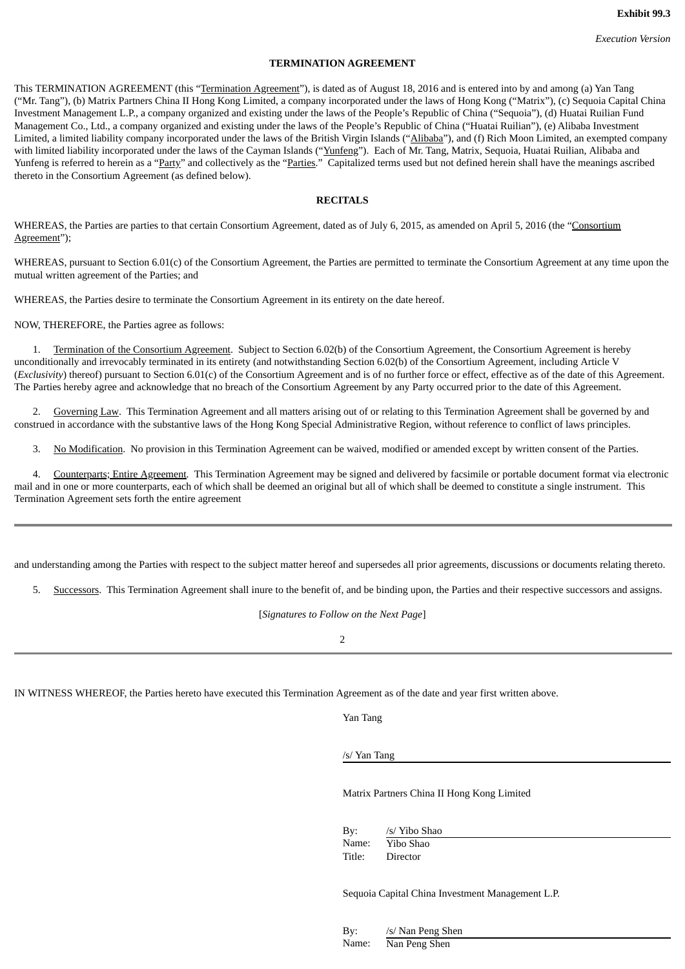# **TERMINATION AGREEMENT**

This TERMINATION AGREEMENT (this "Termination Agreement"), is dated as of August 18, 2016 and is entered into by and among (a) Yan Tang ("Mr. Tang"), (b) Matrix Partners China II Hong Kong Limited, a company incorporated under the laws of Hong Kong ("Matrix"), (c) Sequoia Capital China Investment Management L.P., a company organized and existing under the laws of the People's Republic of China ("Sequoia"), (d) Huatai Ruilian Fund Management Co., Ltd., a company organized and existing under the laws of the People's Republic of China ("Huatai Ruilian"), (e) Alibaba Investment Limited, a limited liability company incorporated under the laws of the British Virgin Islands ("Alibaba"), and (f) Rich Moon Limited, an exempted company with limited liability incorporated under the laws of the Cayman Islands ("Yunfeng"). Each of Mr. Tang, Matrix, Sequoia, Huatai Ruilian, Alibaba and Yunfeng is referred to herein as a "Party" and collectively as the "Parties." Capitalized terms used but not defined herein shall have the meanings ascribed thereto in the Consortium Agreement (as defined below).

# **RECITALS**

WHEREAS, the Parties are parties to that certain Consortium Agreement, dated as of July 6, 2015, as amended on April 5, 2016 (the "Consortium Agreement");

WHEREAS, pursuant to Section 6.01(c) of the Consortium Agreement, the Parties are permitted to terminate the Consortium Agreement at any time upon the mutual written agreement of the Parties; and

WHEREAS, the Parties desire to terminate the Consortium Agreement in its entirety on the date hereof.

NOW, THEREFORE, the Parties agree as follows:

1. Termination of the Consortium Agreement. Subject to Section 6.02(b) of the Consortium Agreement, the Consortium Agreement is hereby unconditionally and irrevocably terminated in its entirety (and notwithstanding Section 6.02(b) of the Consortium Agreement, including Article V (*Exclusivity*) thereof) pursuant to Section 6.01(c) of the Consortium Agreement and is of no further force or effect, effective as of the date of this Agreement. The Parties hereby agree and acknowledge that no breach of the Consortium Agreement by any Party occurred prior to the date of this Agreement.

Governing Law. This Termination Agreement and all matters arising out of or relating to this Termination Agreement shall be governed by and construed in accordance with the substantive laws of the Hong Kong Special Administrative Region, without reference to conflict of laws principles.

3. No Modification. No provision in this Termination Agreement can be waived, modified or amended except by written consent of the Parties.

4. Counterparts; Entire Agreement. This Termination Agreement may be signed and delivered by facsimile or portable document format via electronic mail and in one or more counterparts, each of which shall be deemed an original but all of which shall be deemed to constitute a single instrument. This Termination Agreement sets forth the entire agreement

and understanding among the Parties with respect to the subject matter hereof and supersedes all prior agreements, discussions or documents relating thereto.

Successors. This Termination Agreement shall inure to the benefit of, and be binding upon, the Parties and their respective successors and assigns.

[*Signatures to Follow on the Next Page*]

2

IN WITNESS WHEREOF, the Parties hereto have executed this Termination Agreement as of the date and year first written above.

Yan Tang

/s/ Yan Tang

Matrix Partners China II Hong Kong Limited

By: /s/ Yibo Shao Name: Yibo Shao Title: Director

Sequoia Capital China Investment Management L.P.

By: /s/ Nan Peng Shen Name: Nan Peng Shen